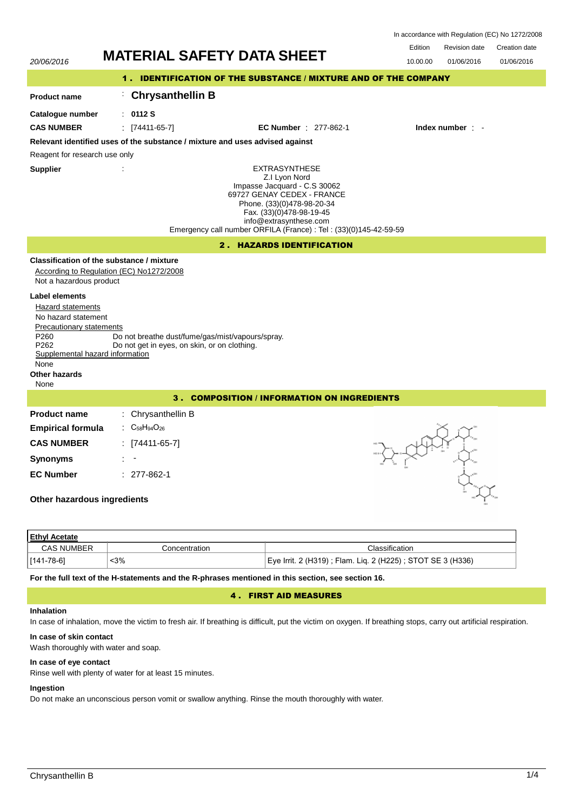| In accordance with Regulation (EC) No 1272/2008 |  |  |  |
|-------------------------------------------------|--|--|--|
|-------------------------------------------------|--|--|--|

| 20/06/2016                                                                                                                                                                                                        | <b>MATERIAL SAFETY DATA SHEET</b>                                                                                                                                                                                                                            | Edition<br>10.00.00 | <b>Revision date</b><br>01/06/2016 | Creation date<br>01/06/2016 |  |
|-------------------------------------------------------------------------------------------------------------------------------------------------------------------------------------------------------------------|--------------------------------------------------------------------------------------------------------------------------------------------------------------------------------------------------------------------------------------------------------------|---------------------|------------------------------------|-----------------------------|--|
| 1. IDENTIFICATION OF THE SUBSTANCE / MIXTURE AND OF THE COMPANY                                                                                                                                                   |                                                                                                                                                                                                                                                              |                     |                                    |                             |  |
| <b>Product name</b>                                                                                                                                                                                               | <b>Chrysanthellin B</b><br>÷.                                                                                                                                                                                                                                |                     |                                    |                             |  |
| Catalogue number                                                                                                                                                                                                  | : 0112S                                                                                                                                                                                                                                                      |                     |                                    |                             |  |
| <b>CAS NUMBER</b>                                                                                                                                                                                                 | $\frac{1}{2}$ [74411-65-7]<br><b>EC Number</b> : 277-862-1                                                                                                                                                                                                   |                     | Index number : -                   |                             |  |
|                                                                                                                                                                                                                   | Relevant identified uses of the substance / mixture and uses advised against                                                                                                                                                                                 |                     |                                    |                             |  |
| Reagent for research use only                                                                                                                                                                                     |                                                                                                                                                                                                                                                              |                     |                                    |                             |  |
| <b>Supplier</b>                                                                                                                                                                                                   | <b>EXTRASYNTHESE</b><br>Z.I Lyon Nord<br>Impasse Jacquard - C.S 30062<br>69727 GENAY CEDEX - FRANCE<br>Phone. (33)(0)478-98-20-34<br>Fax. (33)(0)478-98-19-45<br>info@extrasynthese.com<br>Emergency call number ORFILA (France) : Tel : (33)(0)145-42-59-59 |                     |                                    |                             |  |
|                                                                                                                                                                                                                   | 2. HAZARDS IDENTIFICATION                                                                                                                                                                                                                                    |                     |                                    |                             |  |
| Not a hazardous product<br>Label elements<br>Hazard statements<br>No hazard statement<br>Precautionary statements<br>P260<br>P <sub>262</sub><br>Supplemental hazard information<br>None<br>Other hazards<br>None | Classification of the substance / mixture<br>According to Regulation (EC) No1272/2008<br>Do not breathe dust/fume/gas/mist/vapours/spray.<br>Do not get in eyes, on skin, or on clothing.                                                                    |                     |                                    |                             |  |
|                                                                                                                                                                                                                   | 3. COMPOSITION / INFORMATION ON INGREDIENTS                                                                                                                                                                                                                  |                     |                                    |                             |  |
| <b>Product name</b>                                                                                                                                                                                               | : Chrysanthellin B                                                                                                                                                                                                                                           |                     |                                    |                             |  |
| <b>Empirical formula</b>                                                                                                                                                                                          | $C_{58}H_{94}O_{26}$                                                                                                                                                                                                                                         |                     |                                    |                             |  |
| <b>CAS NUMBER</b>                                                                                                                                                                                                 | $[74411-65-7]$                                                                                                                                                                                                                                               |                     |                                    |                             |  |
| <b>Synonyms</b>                                                                                                                                                                                                   |                                                                                                                                                                                                                                                              |                     |                                    |                             |  |
| <b>EC Number</b>                                                                                                                                                                                                  | $: 277-862-1$                                                                                                                                                                                                                                                |                     |                                    |                             |  |
| Other hazardous ingredients                                                                                                                                                                                       |                                                                                                                                                                                                                                                              |                     |                                    |                             |  |
| <b>Ethyl Acetate</b>                                                                                                                                                                                              |                                                                                                                                                                                                                                                              |                     |                                    |                             |  |

| <u>Ethyl Acetate</u> |                       |                                                            |  |  |  |
|----------------------|-----------------------|------------------------------------------------------------|--|--|--|
| <b>CAS NUMBER</b>    | <i>C</i> oncentration | Classification                                             |  |  |  |
| 141-78-6]            | 3%                    | Eye Irrit. 2 (H319); Flam. Liq. 2 (H225); STOT SE 3 (H336) |  |  |  |

**For the full text of the H-statements and the R-phrases mentioned in this section, see section 16.**

# 4 . FIRST AID MEASURES

# **Inhalation**

In case of inhalation, move the victim to fresh air. If breathing is difficult, put the victim on oxygen. If breathing stops, carry out artificial respiration.

## **In case of skin contact**

Wash thoroughly with water and soap.

# **In case of eye contact**

Rinse well with plenty of water for at least 15 minutes.

# **Ingestion**

Do not make an unconscious person vomit or swallow anything. Rinse the mouth thoroughly with water.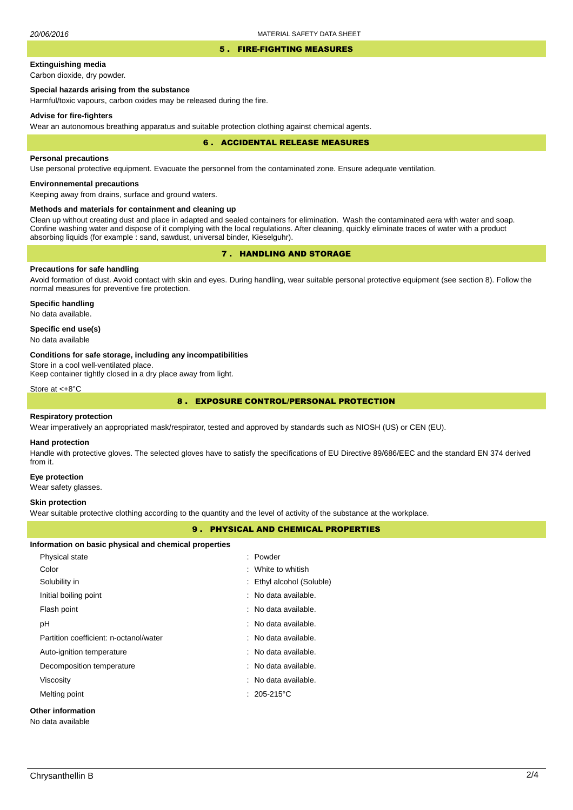### 5 . FIRE-FIGHTING MEASURES

# **Extinguishing media**

Carbon dioxide, dry powder.

# **Special hazards arising from the substance**

Harmful/toxic vapours, carbon oxides may be released during the fire.

### **Advise for fire-fighters**

Wear an autonomous breathing apparatus and suitable protection clothing against chemical agents.

### 6 . ACCIDENTAL RELEASE MEASURES

### **Personal precautions**

Use personal protective equipment. Evacuate the personnel from the contaminated zone. Ensure adequate ventilation.

# **Environnemental precautions**

Keeping away from drains, surface and ground waters.

## **Methods and materials for containment and cleaning up**

Clean up without creating dust and place in adapted and sealed containers for elimination. Wash the contaminated aera with water and soap. Confine washing water and dispose of it complying with the local regulations. After cleaning, quickly eliminate traces of water with a product absorbing liquids (for example : sand, sawdust, universal binder, Kieselguhr).

# 7 . HANDLING AND STORAGE

## **Precautions for safe handling**

Avoid formation of dust. Avoid contact with skin and eyes. During handling, wear suitable personal protective equipment (see section 8). Follow the normal measures for preventive fire protection.

**Specific handling** No data available.

## **Specific end use(s)**

No data available

### **Conditions for safe storage, including any incompatibilities**

Store in a cool well-ventilated place.

Keep container tightly closed in a dry place away from light.

Store at <+8°C

# 8 . EXPOSURE CONTROL/PERSONAL PROTECTION

### **Respiratory protection**

Wear imperatively an appropriated mask/respirator, tested and approved by standards such as NIOSH (US) or CEN (EU).

#### **Hand protection**

Handle with protective gloves. The selected gloves have to satisfy the specifications of EU Directive 89/686/EEC and the standard EN 374 derived from it.

### **Eye protection**

Wear safety glasses.

### **Skin protection**

Wear suitable protective clothing according to the quantity and the level of activity of the substance at the workplace.

## **PERTIES**

|                                                       | <b>9. PHYSICAL AND CHEMICAL PRO</b> |
|-------------------------------------------------------|-------------------------------------|
| Information on basic physical and chemical properties |                                     |
| Physical state                                        | : Powder                            |
| Color                                                 | : White to whitish                  |
| Solubility in                                         | : Ethyl alcohol (Soluble)           |
| Initial boiling point                                 | : No data available.                |
| Flash point                                           | : No data available.                |
| рH                                                    | : No data available.                |
| Partition coefficient: n-octanol/water                | : No data available.                |
| Auto-ignition temperature                             | : No data available.                |
| Decomposition temperature                             | : No data available.                |
| Viscosity                                             | : No data available.                |
| Melting point                                         | $: 205-215$ °C                      |
| Other information                                     |                                     |

# No data available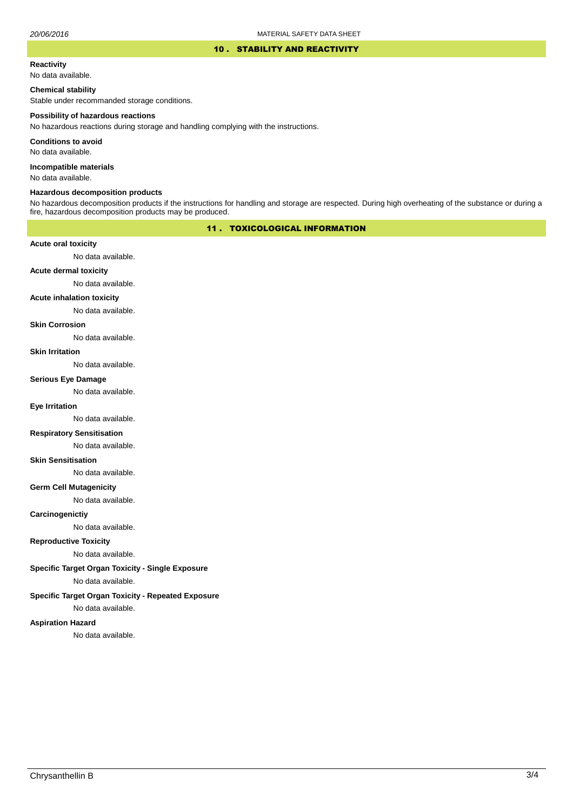### 10 . STABILITY AND REACTIVITY

#### **Reactivity**

No data available.

## **Chemical stability**

Stable under recommanded storage conditions.

#### **Possibility of hazardous reactions**

No hazardous reactions during storage and handling complying with the instructions.

**Conditions to avoid**

No data available.

**Incompatible materials**

No data available.

### **Hazardous decomposition products**

No hazardous decomposition products if the instructions for handling and storage are respected. During high overheating of the substance or during a fire, hazardous decomposition products may be produced.

## 11 . TOXICOLOGICAL INFORMATION

## **Acute oral toxicity**

No data available.

# **Acute dermal toxicity**

No data available.

## **Acute inhalation toxicity**

No data available.

## **Skin Corrosion**

No data available.

#### **Skin Irritation**

No data available.

# **Serious Eye Damage**

No data available.

# **Eye Irritation**

No data available.

## **Respiratory Sensitisation**

No data available.

### **Skin Sensitisation**

No data available.

## **Germ Cell Mutagenicity**

No data available.

## **Carcinogenictiy**

No data available.

# **Reproductive Toxicity**

No data available.

# **Specific Target Organ Toxicity - Single Exposure**

No data available.

## **Specific Target Organ Toxicity - Repeated Exposure**

No data available.

### **Aspiration Hazard**

No data available.